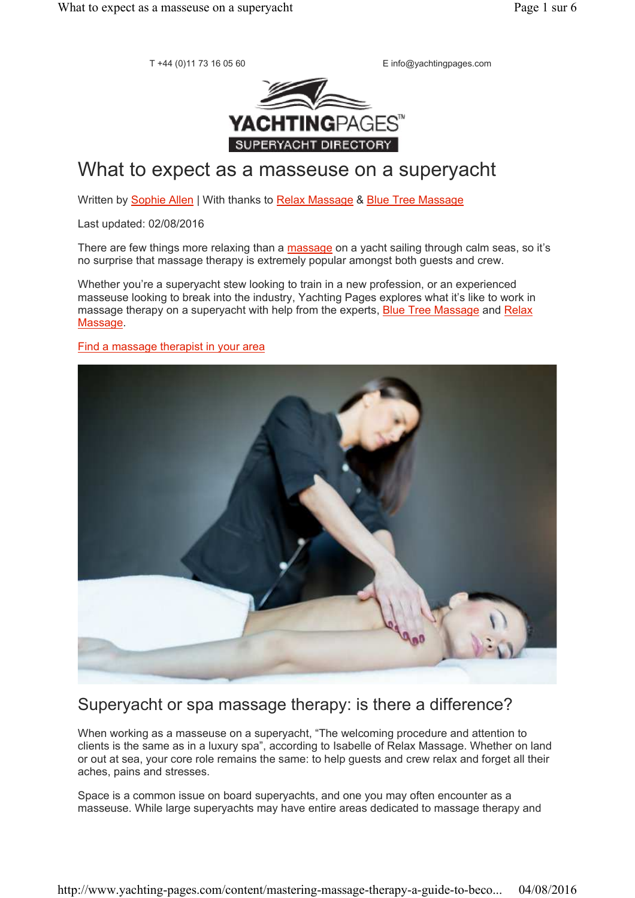T +44 (0)11 73 16 05 60 **E** info@yachtingpages.com



# What to expect as a masseuse on a superyacht

Written by Sophie Allen | With thanks to Relax Massage & Blue Tree Massage

Last updated: 02/08/2016

There are few things more relaxing than a **massage** on a yacht sailing through calm seas, so it's no surprise that massage therapy is extremely popular amongst both guests and crew.

Whether you're a superyacht stew looking to train in a new profession, or an experienced masseuse looking to break into the industry, Yachting Pages explores what it's like to work in massage therapy on a superyacht with help from the experts, Blue Tree Massage and Relax Massage.

#### Find a massage therapist in your area



### Superyacht or spa massage therapy: is there a difference?

When working as a masseuse on a superyacht, "The welcoming procedure and attention to clients is the same as in a luxury spa", according to Isabelle of Relax Massage. Whether on land or out at sea, your core role remains the same: to help guests and crew relax and forget all their aches, pains and stresses.

Space is a common issue on board superyachts, and one you may often encounter as a masseuse. While large superyachts may have entire areas dedicated to massage therapy and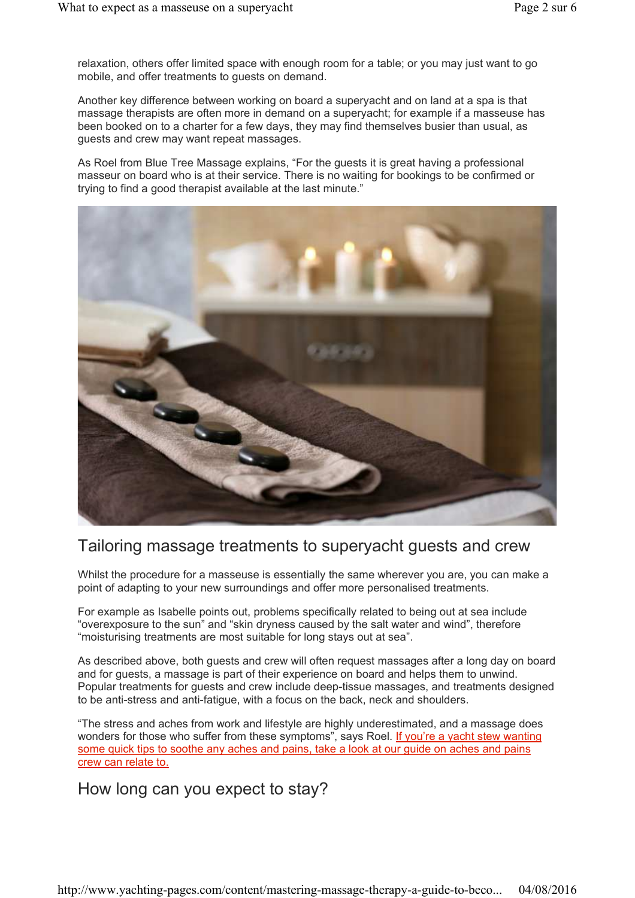relaxation, others offer limited space with enough room for a table; or you may just want to go mobile, and offer treatments to guests on demand.

Another key difference between working on board a superyacht and on land at a spa is that massage therapists are often more in demand on a superyacht; for example if a masseuse has been booked on to a charter for a few days, they may find themselves busier than usual, as guests and crew may want repeat massages.

As Roel from Blue Tree Massage explains, "For the guests it is great having a professional masseur on board who is at their service. There is no waiting for bookings to be confirmed or trying to find a good therapist available at the last minute."



#### Tailoring massage treatments to superyacht guests and crew

Whilst the procedure for a masseuse is essentially the same wherever you are, you can make a point of adapting to your new surroundings and offer more personalised treatments.

For example as Isabelle points out, problems specifically related to being out at sea include "overexposure to the sun" and "skin dryness caused by the salt water and wind", therefore "moisturising treatments are most suitable for long stays out at sea".

As described above, both guests and crew will often request massages after a long day on board and for guests, a massage is part of their experience on board and helps them to unwind. Popular treatments for guests and crew include deep-tissue massages, and treatments designed to be anti-stress and anti-fatigue, with a focus on the back, neck and shoulders.

"The stress and aches from work and lifestyle are highly underestimated, and a massage does wonders for those who suffer from these symptoms", says Roel. If you're a yacht stew wanting some quick tips to soothe any aches and pains, take a look at our guide on aches and pains crew can relate to.

How long can you expect to stay?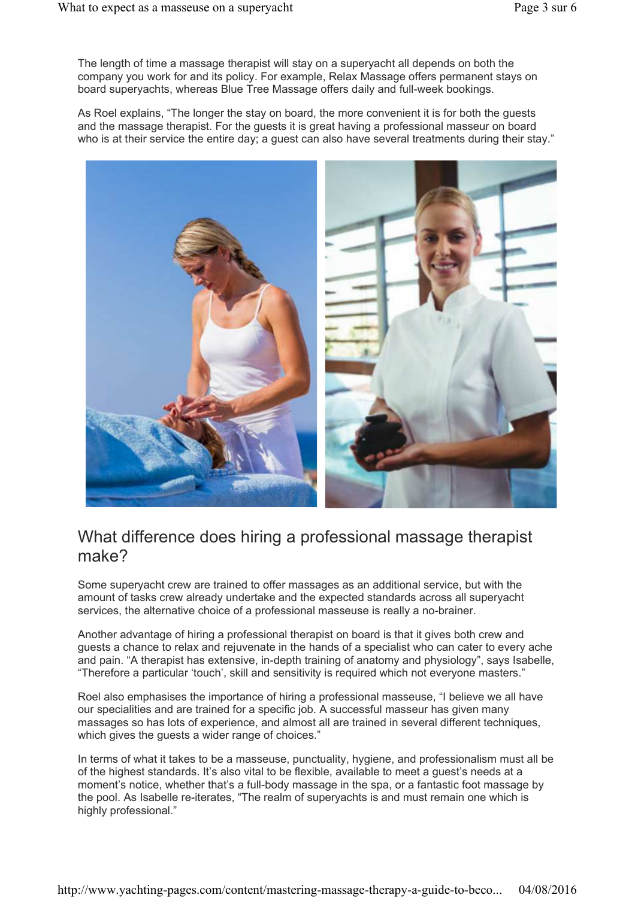The length of time a massage therapist will stay on a superyacht all depends on both the company you work for and its policy. For example, Relax Massage offers permanent stays on board superyachts, whereas Blue Tree Massage offers daily and full-week bookings.

As Roel explains, "The longer the stay on board, the more convenient it is for both the guests and the massage therapist. For the guests it is great having a professional masseur on board who is at their service the entire day; a guest can also have several treatments during their stay."



## What difference does hiring a professional massage therapist make?

Some superyacht crew are trained to offer massages as an additional service, but with the amount of tasks crew already undertake and the expected standards across all superyacht services, the alternative choice of a professional masseuse is really a no-brainer.

Another advantage of hiring a professional therapist on board is that it gives both crew and guests a chance to relax and rejuvenate in the hands of a specialist who can cater to every ache and pain. "A therapist has extensive, in-depth training of anatomy and physiology", says Isabelle, "Therefore a particular 'touch', skill and sensitivity is required which not everyone masters."

Roel also emphasises the importance of hiring a professional masseuse, "I believe we all have our specialities and are trained for a specific job. A successful masseur has given many massages so has lots of experience, and almost all are trained in several different techniques, which gives the guests a wider range of choices."

In terms of what it takes to be a masseuse, punctuality, hygiene, and professionalism must all be of the highest standards. It's also vital to be flexible, available to meet a guest's needs at a moment's notice, whether that's a full-body massage in the spa, or a fantastic foot massage by the pool. As Isabelle re-iterates, "The realm of superyachts is and must remain one which is highly professional."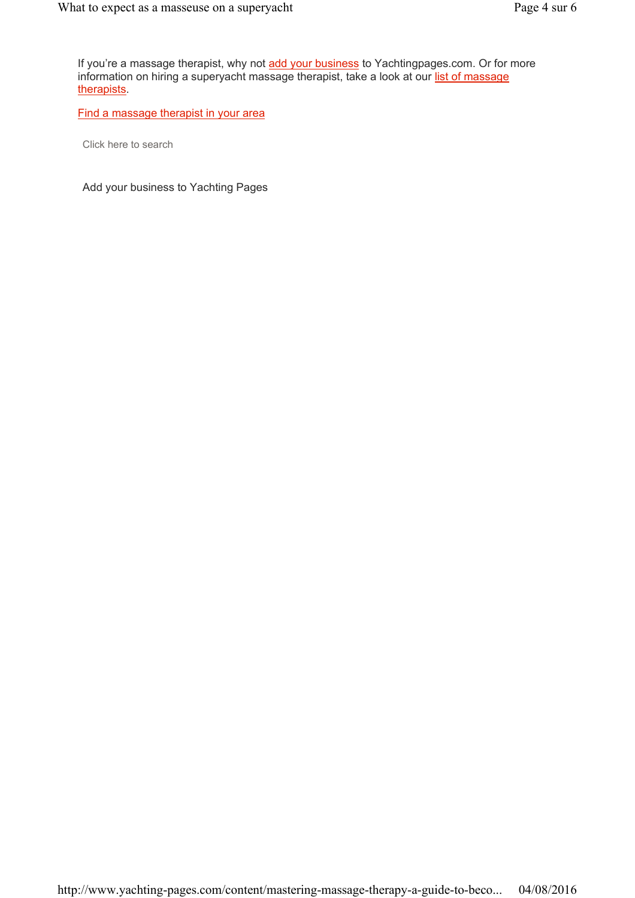If you're a massage therapist, why not add your business to Yachtingpages.com. Or for more information on hiring a superyacht massage therapist, take a look at our list of massage therapists.

Find a massage therapist in your area

Click here to search

Add your business to Yachting Pages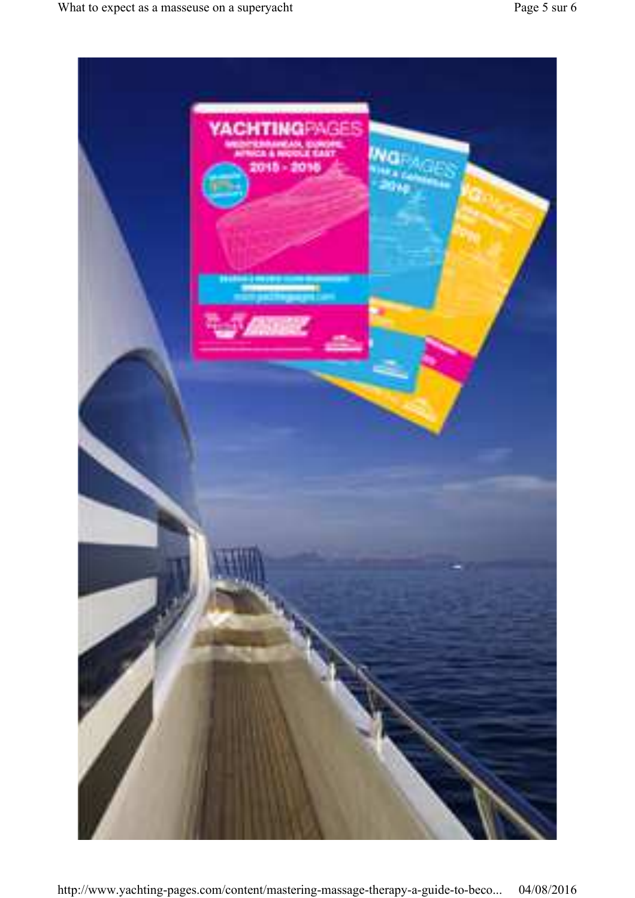